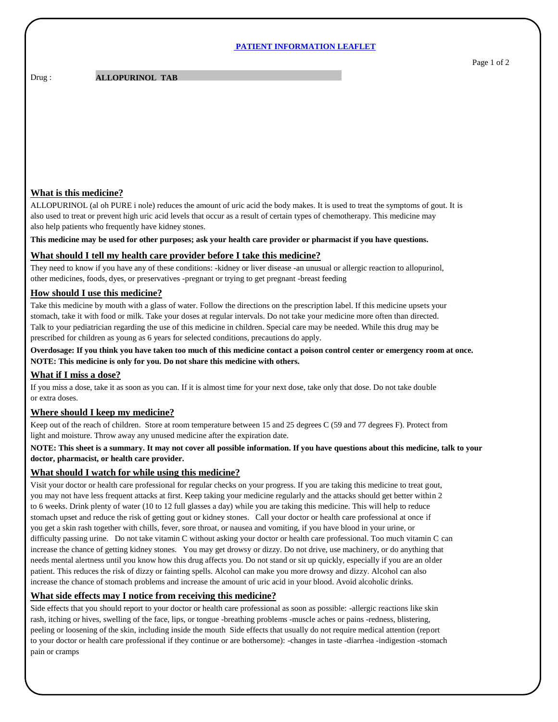#### **PATIENT INFORMATION LEAFLET**

Drug : **ALLOPURINOL TAB** 

# **What is this medicine?**

ALLOPURINOL (al oh PURE i nole) reduces the amount of uric acid the body makes. It is used to treat the symptoms of gout. It is also used to treat or prevent high uric acid levels that occur as a result of certain types of chemotherapy. This medicine may also help patients who frequently have kidney stones.

**This medicine may be used for other purposes; ask your health care provider or pharmacist if you have questions.**

# **What should I tell my health care provider before I take this medicine?**

They need to know if you have any of these conditions: -kidney or liver disease -an unusual or allergic reaction to allopurinol, other medicines, foods, dyes, or preservatives -pregnant or trying to get pregnant -breast feeding

# **How should I use this medicine?**

Take this medicine by mouth with a glass of water. Follow the directions on the prescription label. If this medicine upsets your stomach, take it with food or milk. Take your doses at regular intervals. Do not take your medicine more often than directed. Talk to your pediatrician regarding the use of this medicine in children. Special care may be needed. While this drug may be prescribed for children as young as 6 years for selected conditions, precautions do apply.

# **Overdosage: If you think you have taken too much of this medicine contact a poison control center or emergency room at once. NOTE: This medicine is only for you. Do not share this medicine with others.**

### **What if I miss a dose?**

If you miss a dose, take it as soon as you can. If it is almost time for your next dose, take only that dose. Do not take double or extra doses.

### **Where should I keep my medicine?**

Keep out of the reach of children. Store at room temperature between 15 and 25 degrees C (59 and 77 degrees F). Protect from light and moisture. Throw away any unused medicine after the expiration date.

# **NOTE: This sheet is a summary. It may not cover all possible information. If you have questions about this medicine, talk to your doctor, pharmacist, or health care provider.**

### **What should I watch for while using this medicine?**

Visit your doctor or health care professional for regular checks on your progress. If you are taking this medicine to treat gout, you may not have less frequent attacks at first. Keep taking your medicine regularly and the attacks should get better within 2 to 6 weeks. Drink plenty of water (10 to 12 full glasses a day) while you are taking this medicine. This will help to reduce stomach upset and reduce the risk of getting gout or kidney stones. Call your doctor or health care professional at once if you get a skin rash together with chills, fever, sore throat, or nausea and vomiting, if you have blood in your urine, or difficulty passing urine. Do not take vitamin C without asking your doctor or health care professional. Too much vitamin C can increase the chance of getting kidney stones. You may get drowsy or dizzy. Do not drive, use machinery, or do anything that needs mental alertness until you know how this drug affects you. Do not stand or sit up quickly, especially if you are an older patient. This reduces the risk of dizzy or fainting spells. Alcohol can make you more drowsy and dizzy. Alcohol can also increase the chance of stomach problems and increase the amount of uric acid in your blood. Avoid alcoholic drinks.

### **What side effects may I notice from receiving this medicine?**

Side effects that you should report to your doctor or health care professional as soon as possible: -allergic reactions like skin rash, itching or hives, swelling of the face, lips, or tongue -breathing problems -muscle aches or pains -redness, blistering, peeling or loosening of the skin, including inside the mouth Side effects that usually do not require medical attention (report to your doctor or health care professional if they continue or are bothersome): -changes in taste -diarrhea -indigestion -stomach pain or cramps